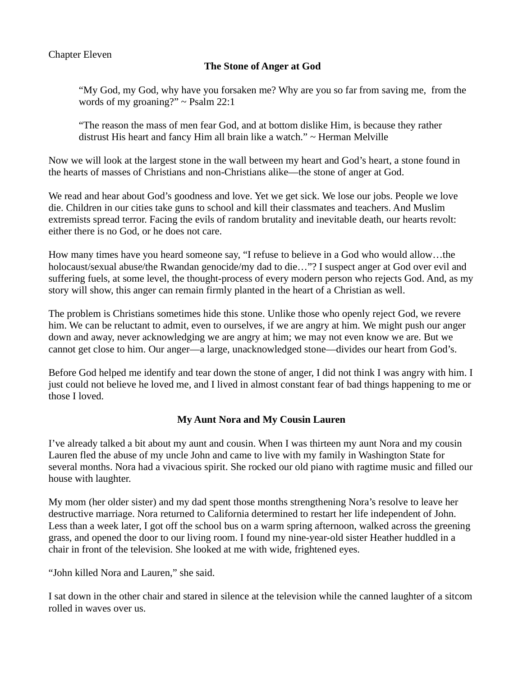#### Chapter Eleven

#### The Stone of Anger at God

"My God, my God, why have you forsaken me? Why are you so far from saving me, from the words of my groaning?"  $\sim$  Psalm 22:1

 "The reason the mass of men fear God, and at bottom dislike Him, is because they rather distrust His heart and fancy Him all brain like a watch."  $\sim$  Herman Melville

Now we will look at the largest stone in the wall between my heart and God's heart, a stone found in the hearts of masses of Christians and non-Christians alike—the stone of anger at God.

We read and hear about God's goodness and love. Yet we get sick. We lose our jobs. People we love die. Children in our cities take guns to school and kill their classmates and teachers. And Muslim extremists spread terror. Facing the evils of random brutality and inevitable death, our hearts revolt: either there is no God, or he does not care.

How many times have you heard someone say, "I refuse to believe in a God who would allow…the holocaust/sexual abuse/the Rwandan genocide/my dad to die..."? I suspect anger at God over evil and suffering fuels, at some level, the thought-process of every modern person who rejects God. And, as my story will show, this anger can remain firmly planted in the heart of a Christian as well.

The problem is Christians sometimes hide this stone. Unlike those who openly reject God, we revere him. We can be reluctant to admit, even to ourselves, if we are angry at him. We might push our anger down and away, never acknowledging we are angry at him; we may not even know we are. But we cannot get close to him. Our anger—a large, unacknowledged stone—divides our heart from God's.

Before God helped me identify and tear down the stone of anger, I did not think I was angry with him. I just could not believe he loved me, and I lived in almost constant fear of bad things happening to me or those I loved.

# My Aunt Nora and My Cousin Lauren

I've already talked a bit about my aunt and cousin. When I was thirteen my aunt Nora and my cousin Lauren fled the abuse of my uncle John and came to live with my family in Washington State for several months. Nora had a vivacious spirit. She rocked our old piano with ragtime music and filled our house with laughter.

My mom (her older sister) and my dad spent those months strengthening Nora's resolve to leave her destructive marriage. Nora returned to California determined to restart her life independent of John. Less than a week later, I got off the school bus on a warm spring afternoon, walked across the greening grass, and opened the door to our living room. I found my nine-year-old sister Heather huddled in a chair in front of the television. She looked at me with wide, frightened eyes.

"John killed Nora and Lauren," she said.

I sat down in the other chair and stared in silence at the television while the canned laughter of a sitcom rolled in waves over us.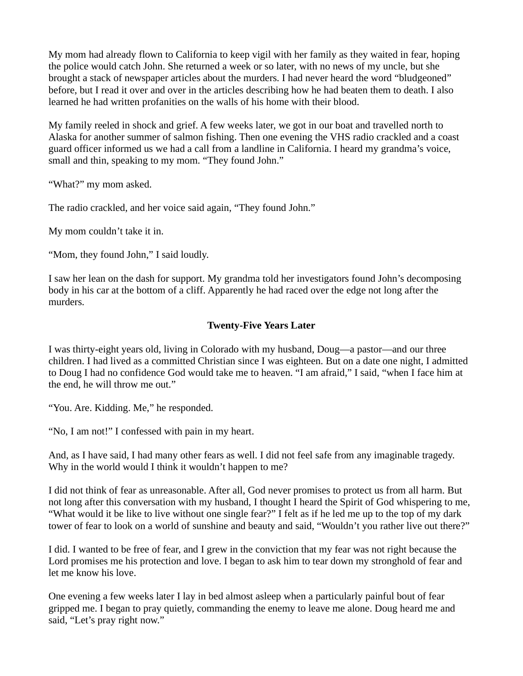My mom had already flown to California to keep vigil with her family as they waited in fear, hoping the police would catch John. She returned a week or so later, with no news of my uncle, but she brought a stack of newspaper articles about the murders. I had never heard the word "bludgeoned" before, but I read it over and over in the articles describing how he had beaten them to death. I also learned he had written profanities on the walls of his home with their blood.

My family reeled in shock and grief. A few weeks later, we got in our boat and travelled north to Alaska for another summer of salmon fishing. Then one evening the VHS radio crackled and a coast guard officer informed us we had a call from a landline in California. I heard my grandma's voice, small and thin, speaking to my mom. "They found John."

"What?" my mom asked.

The radio crackled, and her voice said again, "They found John."

My mom couldn't take it in.

"Mom, they found John," I said loudly.

I saw her lean on the dash for support. My grandma told her investigators found John's decomposing body in his car at the bottom of a cliff. Apparently he had raced over the edge not long after the murders.

#### Twenty-Five Years Later

I was thirty-eight years old, living in Colorado with my husband, Doug—a pastor—and our three children. I had lived as a committed Christian since I was eighteen. But on a date one night, I admitted to Doug I had no confidence God would take me to heaven. "I am afraid," I said, "when I face him at the end, he will throw me out."

"You. Are. Kidding. Me," he responded.

"No, I am not!" I confessed with pain in my heart.

And, as I have said, I had many other fears as well. I did not feel safe from any imaginable tragedy. Why in the world would I think it wouldn't happen to me?

I did not think of fear as unreasonable. After all, God never promises to protect us from all harm. But not long after this conversation with my husband, I thought I heard the Spirit of God whispering to me, "What would it be like to live without one single fear?" I felt as if he led me up to the top of my dark tower of fear to look on a world of sunshine and beauty and said, "Wouldn't you rather live out there?"

I did. I wanted to be free of fear, and I grew in the conviction that my fear was not right because the Lord promises me his protection and love. I began to ask him to tear down my stronghold of fear and let me know his love.

One evening a few weeks later I lay in bed almost asleep when a particularly painful bout of fear gripped me. I began to pray quietly, commanding the enemy to leave me alone. Doug heard me and said, "Let's pray right now."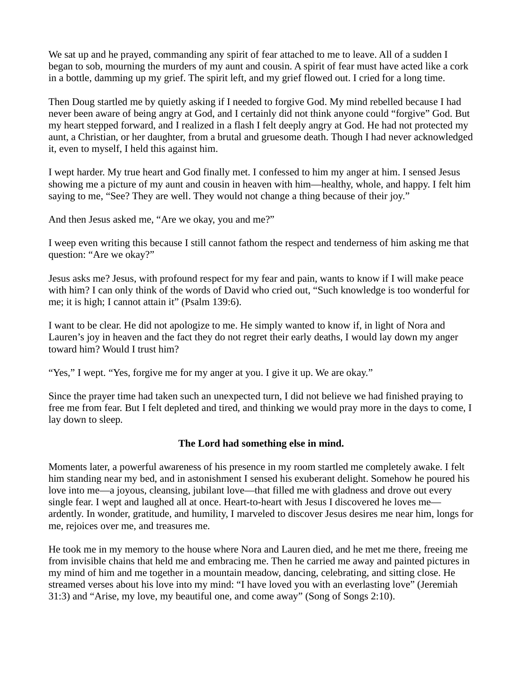We sat up and he prayed, commanding any spirit of fear attached to me to leave. All of a sudden I began to sob, mourning the murders of my aunt and cousin. A spirit of fear must have acted like a cork in a bottle, damming up my grief. The spirit left, and my grief flowed out. I cried for a long time.

Then Doug startled me by quietly asking if I needed to forgive God. My mind rebelled because I had never been aware of being angry at God, and I certainly did not think anyone could "forgive" God. But my heart stepped forward, and I realized in a flash I felt deeply angry at God. He had not protected my aunt, a Christian, or her daughter, from a brutal and gruesome death. Though I had never acknowledged it, even to myself, I held this against him.

I wept harder. My true heart and God finally met. I confessed to him my anger at him. I sensed Jesus showing me a picture of my aunt and cousin in heaven with him—healthy, whole, and happy. I felt him saying to me, "See? They are well. They would not change a thing because of their joy."

And then Jesus asked me, "Are we okay, you and me?"

I weep even writing this because I still cannot fathom the respect and tenderness of him asking me that question: "Are we okay?"

Jesus asks me? Jesus, with profound respect for my fear and pain, wants to know if I will make peace with him? I can only think of the words of David who cried out, "Such knowledge is too wonderful for me; it is high; I cannot attain it" (Psalm 139:6).

I want to be clear. He did not apologize to me. He simply wanted to know if, in light of Nora and Lauren's joy in heaven and the fact they do not regret their early deaths, I would lay down my anger toward him? Would I trust him?

"Yes," I wept. "Yes, forgive me for my anger at you. I give it up. We are okay."

Since the prayer time had taken such an unexpected turn, I did not believe we had finished praying to free me from fear. But I felt depleted and tired, and thinking we would pray more in the days to come, I lay down to sleep.

# The Lord had something else in mind.

Moments later, a powerful awareness of his presence in my room startled me completely awake. I felt him standing near my bed, and in astonishment I sensed his exuberant delight. Somehow he poured his love into me—a joyous, cleansing, jubilant love—that filled me with gladness and drove out every single fear. I wept and laughed all at once. Heart-to-heart with Jesus I discovered he loves me ardently. In wonder, gratitude, and humility, I marveled to discover Jesus desires me near him, longs for me, rejoices over me, and treasures me.

He took me in my memory to the house where Nora and Lauren died, and he met me there, freeing me from invisible chains that held me and embracing me. Then he carried me away and painted pictures in my mind of him and me together in a mountain meadow, dancing, celebrating, and sitting close. He streamed verses about his love into my mind: "I have loved you with an everlasting love" (Jeremiah 31:3) and "Arise, my love, my beautiful one, and come away" (Song of Songs 2:10).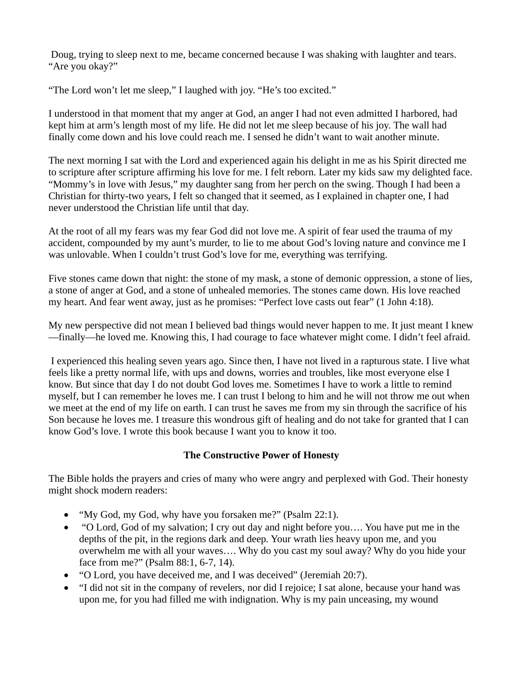Doug, trying to sleep next to me, became concerned because I was shaking with laughter and tears. "Are you okay?"

"The Lord won't let me sleep," I laughed with joy. "He's too excited."

I understood in that moment that my anger at God, an anger I had not even admitted I harbored, had kept him at arm's length most of my life. He did not let me sleep because of his joy. The wall had finally come down and his love could reach me. I sensed he didn't want to wait another minute.

The next morning I sat with the Lord and experienced again his delight in me as his Spirit directed me to scripture after scripture affirming his love for me. I felt reborn. Later my kids saw my delighted face. "Mommy's in love with Jesus," my daughter sang from her perch on the swing. Though I had been a Christian for thirty-two years, I felt so changed that it seemed, as I explained in chapter one, I had never understood the Christian life until that day.

At the root of all my fears was my fear God did not love me. A spirit of fear used the trauma of my accident, compounded by my aunt's murder, to lie to me about God's loving nature and convince me I was unlovable. When I couldn't trust God's love for me, everything was terrifying.

Five stones came down that night: the stone of my mask, a stone of demonic oppression, a stone of lies, a stone of anger at God, and a stone of unhealed memories. The stones came down. His love reached my heart. And fear went away, just as he promises: "Perfect love casts out fear" (1 John 4:18).

My new perspective did not mean I believed bad things would never happen to me. It just meant I knew —finally—he loved me. Knowing this, I had courage to face whatever might come. I didn't feel afraid.

 I experienced this healing seven years ago. Since then, I have not lived in a rapturous state. I live what feels like a pretty normal life, with ups and downs, worries and troubles, like most everyone else I know. But since that day I do not doubt God loves me. Sometimes I have to work a little to remind myself, but I can remember he loves me. I can trust I belong to him and he will not throw me out when we meet at the end of my life on earth. I can trust he saves me from my sin through the sacrifice of his Son because he loves me. I treasure this wondrous gift of healing and do not take for granted that I can know God's love. I wrote this book because I want you to know it too.

# The Constructive Power of Honesty

The Bible holds the prayers and cries of many who were angry and perplexed with God. Their honesty might shock modern readers:

- "My God, my God, why have you forsaken me?" (Psalm 22:1).
- "O Lord, God of my salvation; I cry out day and night before you…. You have put me in the depths of the pit, in the regions dark and deep. Your wrath lies heavy upon me, and you overwhelm me with all your waves…. Why do you cast my soul away? Why do you hide your face from me?" (Psalm 88:1, 6-7, 14).
- "O Lord, you have deceived me, and I was deceived" (Jeremiah 20:7).
- "I did not sit in the company of revelers, nor did I rejoice; I sat alone, because your hand was upon me, for you had filled me with indignation. Why is my pain unceasing, my wound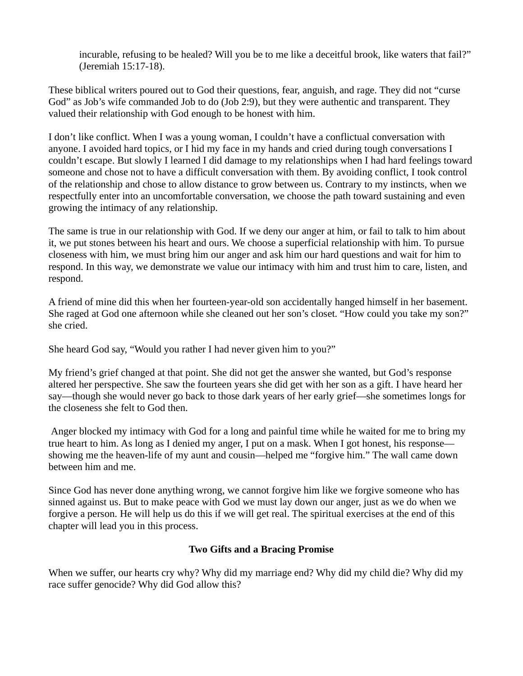incurable, refusing to be healed? Will you be to me like a deceitful brook, like waters that fail?" (Jeremiah 15:17-18).

These biblical writers poured out to God their questions, fear, anguish, and rage. They did not "curse God" as Job's wife commanded Job to do (Job 2:9), but they were authentic and transparent. They valued their relationship with God enough to be honest with him.

I don't like conflict. When I was a young woman, I couldn't have a conflictual conversation with anyone. I avoided hard topics, or I hid my face in my hands and cried during tough conversations I couldn't escape. But slowly I learned I did damage to my relationships when I had hard feelings toward someone and chose not to have a difficult conversation with them. By avoiding conflict, I took control of the relationship and chose to allow distance to grow between us. Contrary to my instincts, when we respectfully enter into an uncomfortable conversation, we choose the path toward sustaining and even growing the intimacy of any relationship.

The same is true in our relationship with God. If we deny our anger at him, or fail to talk to him about it, we put stones between his heart and ours. We choose a superficial relationship with him. To pursue closeness with him, we must bring him our anger and ask him our hard questions and wait for him to respond. In this way, we demonstrate we value our intimacy with him and trust him to care, listen, and respond.

A friend of mine did this when her fourteen-year-old son accidentally hanged himself in her basement. She raged at God one afternoon while she cleaned out her son's closet. "How could you take my son?" she cried.

She heard God say, "Would you rather I had never given him to you?"

My friend's grief changed at that point. She did not get the answer she wanted, but God's response altered her perspective. She saw the fourteen years she did get with her son as a gift. I have heard her say—though she would never go back to those dark years of her early grief—she sometimes longs for the closeness she felt to God then.

 Anger blocked my intimacy with God for a long and painful time while he waited for me to bring my true heart to him. As long as I denied my anger, I put on a mask. When I got honest, his response showing me the heaven-life of my aunt and cousin—helped me "forgive him." The wall came down between him and me.

Since God has never done anything wrong, we cannot forgive him like we forgive someone who has sinned against us. But to make peace with God we must lay down our anger, just as we do when we forgive a person. He will help us do this if we will get real. The spiritual exercises at the end of this chapter will lead you in this process.

# Two Gifts and a Bracing Promise

When we suffer, our hearts cry why? Why did my marriage end? Why did my child die? Why did my race suffer genocide? Why did God allow this?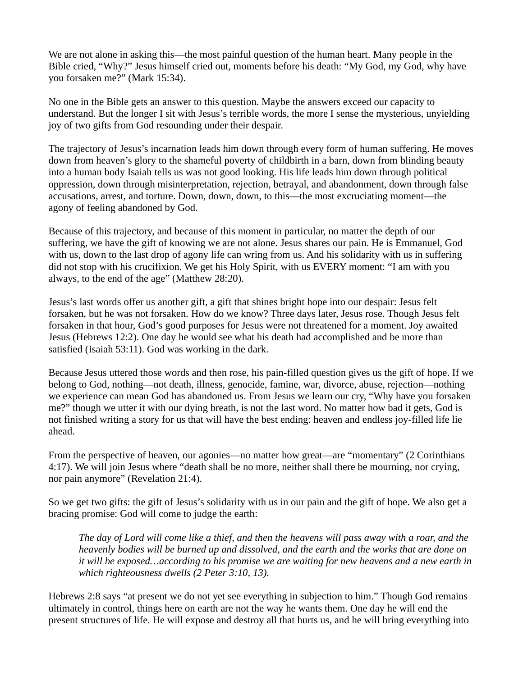We are not alone in asking this—the most painful question of the human heart. Many people in the Bible cried, "Why?" Jesus himself cried out, moments before his death: "My God, my God, why have you forsaken me?" (Mark 15:34).

No one in the Bible gets an answer to this question. Maybe the answers exceed our capacity to understand. But the longer I sit with Jesus's terrible words, the more I sense the mysterious, unyielding joy of two gifts from God resounding under their despair.

The trajectory of Jesus's incarnation leads him down through every form of human suffering. He moves down from heaven's glory to the shameful poverty of childbirth in a barn, down from blinding beauty into a human body Isaiah tells us was not good looking. His life leads him down through political oppression, down through misinterpretation, rejection, betrayal, and abandonment, down through false accusations, arrest, and torture. Down, down, down, to this—the most excruciating moment—the agony of feeling abandoned by God.

Because of this trajectory, and because of this moment in particular, no matter the depth of our suffering, we have the gift of knowing we are not alone. Jesus shares our pain. He is Emmanuel, God with us, down to the last drop of agony life can wring from us. And his solidarity with us in suffering did not stop with his crucifixion. We get his Holy Spirit, with us EVERY moment: "I am with you always, to the end of the age" (Matthew 28:20).

Jesus's last words offer us another gift, a gift that shines bright hope into our despair: Jesus felt forsaken, but he was not forsaken. How do we know? Three days later, Jesus rose. Though Jesus felt forsaken in that hour, God's good purposes for Jesus were not threatened for a moment. Joy awaited Jesus (Hebrews 12:2). One day he would see what his death had accomplished and be more than satisfied (Isaiah 53:11). God was working in the dark.

Because Jesus uttered those words and then rose, his pain-filled question gives us the gift of hope. If we belong to God, nothing—not death, illness, genocide, famine, war, divorce, abuse, rejection—nothing we experience can mean God has abandoned us. From Jesus we learn our cry, "Why have you forsaken me?" though we utter it with our dying breath, is not the last word. No matter how bad it gets, God is not finished writing a story for us that will have the best ending: heaven and endless joy-filled life lie ahead.

From the perspective of heaven, our agonies—no matter how great—are "momentary" (2 Corinthians 4:17). We will join Jesus where "death shall be no more, neither shall there be mourning, nor crying, nor pain anymore" (Revelation 21:4).

So we get two gifts: the gift of Jesus's solidarity with us in our pain and the gift of hope. We also get a bracing promise: God will come to judge the earth:

The day of Lord will come like a thief, and then the heavens will pass away with a roar, and the heavenly bodies will be burned up and dissolved, and the earth and the works that are done on it will be exposed…according to his promise we are waiting for new heavens and a new earth in which righteousness dwells (2 Peter 3:10, 13).

Hebrews 2:8 says "at present we do not yet see everything in subjection to him." Though God remains ultimately in control, things here on earth are not the way he wants them. One day he will end the present structures of life. He will expose and destroy all that hurts us, and he will bring everything into